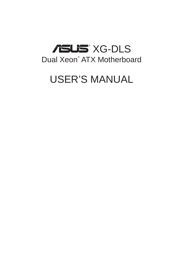# ® XG-DLS Dual Xeon® ATX Motherboard

# USER'S MANUAL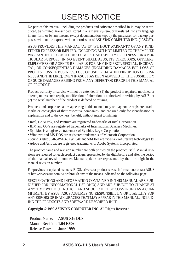No part of this manual, including the products and software described in it, may be reproduced, transmitted, transcribed, stored in a retrieval system, or translated into any language in any form or by any means, except documentation kept by the purchaser for backup purposes, without the express written permission of ASUSTeK COMPUTER INC. ("ASUS").

ASUS PROVIDES THIS MANUAL "AS IS" WITHOUT WARRANTY OF ANY KIND, EITHER EXPRESS OR IMPLIED, INCLUDING BUT NOT LIMITED TO THE IMPLIED WARRANTIES OR CONDITIONS OF MERCHANTABILITY OR FITNESS FOR A PAR-TICULAR PURPOSE. IN NO EVENT SHALL ASUS, ITS DIRECTORS, OFFICERS, EMPLOYEES OR AGENTS BE LIABLE FOR ANY INDIRECT, SPECIAL, INCIDEN-TAL, OR CONSEQUENTIAL DAMAGES (INCLUDING DAMAGES FOR LOSS OF PROFITS, LOSS OF BUSINESS, LOSS OF USE OR DATA, INTERRUPTION OF BUSI-NESS AND THE LIKE), EVEN IF ASUS HAS BEEN ADVISED OF THE POSSIBILITY OF SUCH DAMAGES ARISING FROM ANY DEFECT OR ERROR IN THIS MANUAL OR PRODUCT.

Product warranty or service will not be extended if: (1) the product is repaired, modified or altered, unless such repair, modification of alteration is authorized in writing by ASUS; or (2) the serial number of the product is defaced or missing.

Products and corporate names appearing in this manual may or may not be registered trademarks or copyrights of their respective companies, and are used only for identification or explanation and to the owners' benefit, without intent to infringe.

- Intel, LANDesk, and Pentium are registered trademarks of Intel Corporation.
- IBM and OS/2 are registered trademarks of International Business Machines.
- Symbios is a registered trademark of Symbios Logic Corporation.
- Windows and MS-DOS are registered trademarks of Microsoft Corporation.
- Sound Blaster, SB16, AWE32, AWE64D and SB-LINK are trademarks of Creative Technology Ltd.
- Adobe and Acrobat are registered trademarks of Adobe Systems Incorporated.

The product name and revision number are both printed on the product itself. Manual revisions are released for each product design represented by the digit before and after the period of the manual revision number. Manual updates are represented by the third digit in the manual revision number.

For previous or updated manuals, BIOS, drivers, or product release information, contact ASUS at http://www.asus.com.tw or through any of the means indicated on the following page.

SPECIFICATIONS AND INFORMATION CONTAINED IN THIS MANUAL ARE FUR-NISHED FOR INFORMATIONAL USE ONLY, AND ARE SUBJECT TO CHANGE AT ANY TIME WITHOUT NOTICE, AND SHOULD NOT BE CONSTRUED AS A COM-MITMENT BY ASUS. ASUS ASSUMES NO RESPONSIBILITY OR LIABILITY FOR ANY ERRORS OR INACCURACIES THAT MAY APPEAR IN THIS MANUAL, INCLUD-ING THE PRODUCTS AND SOFTWARE DESCRIBED IN IT.

**Copyright © 1999 ASUSTeK COMPUTER INC. All Rights Reserved.**

 Product Name: **ASUS XG-DLS** Manual Revision: **1.04 E396** Release Date: **June 1999**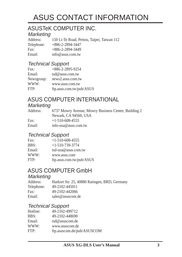# ASUS CONTACT INFORMATION

# ASUSTeK COMPUTER INC.

# Marketing<br>Address:

150 Li-Te Road, Peitou, Taipei, Taiwan 112 Telephone: +886-2-2894-3447 Fax: +886-2-2894-3449 Email: info@asus.com.tw

### Technical Support

| Fax:       | $+886 - 2 - 2895 - 9254$ |
|------------|--------------------------|
| Email:     | tsd@asus.com.tw          |
| Newsgroup: | news2.asus.com.tw        |
| WWW:       | www.asus.com.tw          |
| FTP:       | ftp.asus.com.tw/pub/ASUS |

## ASUS COMPUTER INTERNATIONAL

#### **Marketing**

| Address: | 6737 Mowry Avenue, Mowry Business Center, Building 2 |
|----------|------------------------------------------------------|
|          | Newark, CA 94560, USA                                |
| Fax:     | $+1-510-608-4555$                                    |
| Email:   | info-usa@asus.com.tw                                 |

#### Technical Support

| Fax:   | $+1-510-608-4555$        |
|--------|--------------------------|
| BBS:   | $+1-510-739-3774$        |
| Email: | tsd-usa@asus.com.tw      |
| WWW:   | www.asus.com             |
| FTP:   | ftp.asus.com.tw/pub/ASUS |

## ASUS COMPUTER GmbH

### **Marketing**

| Address:   | Harkort Str. 25, 40880 Ratingen, BRD, Germany |
|------------|-----------------------------------------------|
| Telephone: | 49-2102-445011                                |
| Fax:       | 49-2102-442066                                |
| Email:     | sales@asuscom.de                              |

#### Technical Support

| 49-2102-499712             |
|----------------------------|
| 49-2102-448690             |
| tsd@asuscom.de             |
| www.asuscom.de             |
| ftp.asuscom.de/pub/ASUSCOM |
|                            |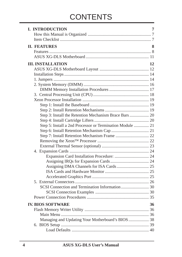# **CONTENTS**

| <b>I. INTRODUCTION</b>                                    | 7  |
|-----------------------------------------------------------|----|
|                                                           |    |
|                                                           |    |
| <b>II. FEATURES</b>                                       | 8  |
|                                                           |    |
|                                                           |    |
| <b>III. INSTALLATION</b>                                  | 12 |
|                                                           |    |
|                                                           |    |
|                                                           |    |
|                                                           |    |
|                                                           |    |
|                                                           |    |
|                                                           |    |
|                                                           |    |
|                                                           |    |
|                                                           |    |
|                                                           |    |
| Step 5: Install a 2nd Processor or Termination Module  21 |    |
|                                                           |    |
|                                                           |    |
|                                                           |    |
|                                                           |    |
|                                                           |    |
|                                                           |    |
|                                                           |    |
|                                                           |    |
|                                                           |    |
|                                                           |    |
|                                                           |    |
|                                                           |    |
|                                                           |    |
|                                                           |    |
| <b>IV. BIOS SOFTWARE</b>                                  | 36 |
|                                                           |    |
|                                                           |    |
| Managing and Updating Your Motherboard's BIOS  38         |    |
|                                                           |    |
|                                                           |    |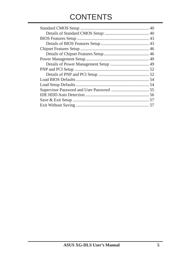# **CONTENTS**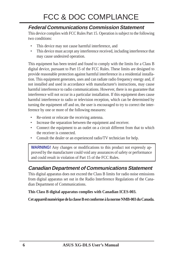# FCC & DOC COMPLIANCE

### **Federal Communications Commission Statement**

This device complies with FCC Rules Part 15. Operation is subject to the following two conditions:

- This device may not cause harmful interference, and
- This device must accept any interference received, including interference that may cause undesired operation.

This equipment has been tested and found to comply with the limits for a Class B digital device, pursuant to Part 15 of the FCC Rules. These limits are designed to provide reasonable protection against harmful interference in a residential installation. This equipment generates, uses and can radiate radio frequency energy and, if not installed and used in accordance with manufacturer's instructions, may cause harmful interference to radio communications. However, there is no guarantee that interference will not occur in a particular installation. If this equipment does cause harmful interference to radio or television reception, which can be determined by turning the equipment off and on, the user is encouraged to try to correct the interference by one or more of the following measures:

- Re-orient or relocate the receiving antenna.
- Increase the separation between the equipment and receiver.
- Connect the equipment to an outlet on a circuit different from that to which the receiver is connected.
- Consult the dealer or an experienced radio/TV technician for help.

**WARNING!** Any changes or modifications to this product not expressly approved by the manufacturer could void any assurances of safety or performance and could result in violation of Part 15 of the FCC Rules.

### **Canadian Department of Communications Statement**

This digital apparatus does not exceed the Class B limits for radio noise emissions from digital apparatus set out in the Radio Interference Regulations of the Canadian Department of Communications.

**This Class B digital apparatus complies with Canadian ICES-003.**

**Cet appareil numérique de la classe B est conforme à la norme NMB-003 du Canada.**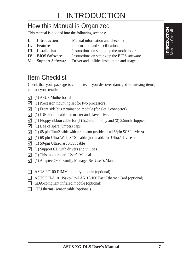# How this Manual is Organized

This manual is divided into the following sections:

- **I.** Introduction Manual information and checklist
- **II.** Features Information and specifications
- **III.** Installation Instructions on setting up the motherboard
- **IV.** BIOS Software Instructions on setting up the BIOS software
- **V.** Support Software Driver and utilities installation and usage

# Item Checklist

Check that your package is complete. If you discover damaged or missing items, contact your retailer.

- $\overline{v}(1)$  ASUS Motherboard
- $\overline{v}(1)$  Processor mounting set for two processors
- $\overline{M}$  (1) Front side bus termination module (for slot 2 connector)
- $\overline{V}$  (1) IDE ribbon cable for master and slave drives
- $\Box$  (1) Floppy ribbon cable for (1) 5.25inch floppy and (2) 3.5inch floppies
- $\sqrt{ }$  (1) Bag of spare jumpers caps
- $\overline{9}$  (1) 68-pin Ultra2 cable with terminator (usable on all 68pin SCSI devices)
- $\triangledown$  (1) 68-pin Ultra-Wide SCSI cable (not usable for Ultra2 devices)
- $\sqrt{ }$  (1) 50-pin Ultra-Fast SCSI cable
- $\overline{M}$  (1) Support CD with drivers and utilities
- $\triangledown$  (1) This motherboard User's Manual
- $\Box$  (1) Adaptec 7800 Family Manager Set User's Manual
- ASUS PC100 DIMM memory module (optional)
- ASUS PCI-L101 Wake-On-LAN 10/100 Fast Ethernet Card (optional)
- IrDA-compliant infrared module (optional)
- $\Box$  CPU thermal sensor cable (optional)

**I. INTRODUCTION** Manual / Checklist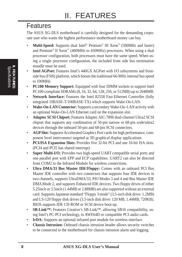## Features

The ASUS XG-DLS motherboard is carefully designed for the demanding corporate user who wants the highest performance motherboard money can buy.

- **Multi-Speed:** Supports dual Intel® Pentium® III Xeon™ (500MHz and faster) and Pentium<sup>®</sup> II Xeon<sup>™</sup> (400MHz to 450MHz) processors. When using a dual processor configuration, both processors must have the same speed. When using a single processor configuration, the included front side bus termination moudle must be used.
- **Intel AGPset:** Features Intel's 440GX AGPset with I/O subsystems and frontside bus (FSB) platform, which boosts the traditional 66-MHz internal bus speed to 100MHz.
- **PC100 Memory Support:** Equipped with four DIMM sockets to support Intel PC100-compliant SDRAMs (8, 16, 32, 64, 128, 256, or 512MB) up to 2048MB.
- **Network Interface:** Features the Intel 82558 Fast-Ethernet Controller (fully integrated 10BASE-T/100BASE-TX) which supports Wake-On-LAN.
- **Wake-On-LAN Connector:** Supports a secondary Wake-On–LAN activity with an optional Wake-On-LAN Ethernet card on the expansion slot.
- **Adaptec SCSI Chipset:** Features Adaptec AIC-7896 dual-channel Ultra2 SCSI chipset that supports any combination of 50-pin narrow or 68-pin wide/ultra2 devices through the onboard 50-pin and 68-pin SCSI connectors.
- **AGP Slot:** Supports Accelerated Graphics Port cards for high performance, component level interconnect targeted at 3D graphical display applications.
- **PCI/ISA Expansion Slots:** Provides five 32-bit PCI and one 16-bit ISA slots. (PCI4 and PCI5 has shared interrupt)
- **Super Multi-I/O:** Provides two high-speed UART compatible serial ports and one parallel port with EPP and ECP capabilities. UART2 can also be directed from COM2 to the Infrared Module for wireless connections.
- **Ultra DMA/33 Bus Master IDE/Floppy:** Comes with an onboard PCI Bus Master IDE controller with two connectors that supports four IDE devices in two channels, supports UltraDMA/33, PIO Modes 3 and 4 and Bus Master IDE DMA Mode 2, and supports Enhanced IDE devices. Two floppy drives of either 5.25inch or 3.5inch (1.44MB or 2.88MB) are also supported without an external card. Supports Japanese standard "Floppy 3 mode" (3.5-inch disk drive: 1.2MB) and LS-120 floppy disk drives (3.5-inch disk drive: 120 MB, 1.44MB, 720KB). BIOS supports IDE CD-ROM or SCSI device boot-up.
- **SB-Link™:** Features Creative's SB-Link™, allowing SB16 compatibility, using Intel's PC-PCI technology, to AWE64D or compatible PCI audio cards.
- **IrDA:** Supports an optional infrared port module for wireless interface.
- **Chassis Intrusion:** Onboard chassis intrusion header allows security switches to be connected to the motherboard for chassis intrusion alarm and logging.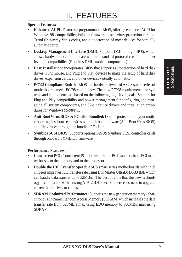#### **Special Features:**

- **Enhanced ACPI:** Features a programmable BIOS, offering enhanced ACPI for Windows 98 compatibility, built-in firmware-based virus protection through Trend ChipAway Virus codes, and autodetection of most devices for virtually automatic setup.
- **Desktop Management Interface (DMI):** Supports DMI through BIOS, which allows hardware to communicate within a standard protocol creating a higher level of compatibility. (Requires DMI-enabled components.)
- **Easy Installation:** Incorporates BIOS that supports autodetection of hard disk drives, PS/2 mouse, and Plug and Play devices to make the setup of hard disk drives, expansion cards, and other devices virtually automatic.
- **PC'98 Compliant:** Both the BIOS and hardware levels of ASUS smart series of motherboards meet PC'98 compliancy. The new PC'98 requirements for systems and components are based on the following high-level goals: Support for Plug and Play compatibility and power management for configuring and managing all system components, and 32-bit device drivers and installation procedures for Windows 95/98/NT.
- **Anti-Boot Virus BIOS & PC-cillin Bundled:** Double protection for your motherboard against boot sector viruses through boot firmware (Anti-Boot Virus BIOS) and file viruses through the bundled PC-cillin.
- **Symbios SCSI BIOS:** Supports optional ASUS Symbios SCSI controller cards through onboard SYMBIOS firmware.

#### **Performance Features:**

- **Concurrent PCI:** Concurrent PCI allows multiple PCI transfers from PCI master busses to the memory and to the processor.
- **Double the IDE Transfer Speed:** ASUS smart series motherboards with Intel chipsets improves IDE transfer rate using Bus Master UltraDMA/33 IDE which can handle data transfer up to 33MB/s. The best of all is that this new technology is compatible with existing ATA-2 IDE specs so there is no need to upgrade current hard drives or cables.
- **SDRAM Optimized Performance:** Supports the new generation memory Synchronous Dynamic Random Access Memory (SDRAM) which increases the data transfer rate from 528MB/s max using EDO memory to 800MB/s max using SDRAM.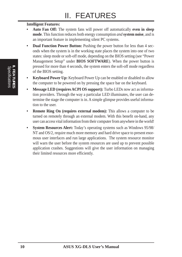#### **Intelligent Features:**

- **Auto Fan Off:** The system fans will power off automatically **even in sleep mode**. This function reduces both energy consumption *and* **system noise**, and is an important feature in implementing silent PC systems.
- **Dual Function Power Button:** Pushing the power button for less than 4 seconds when the system is in the working state places the system into one of two states: sleep mode or soft-off mode, depending on the BIOS setting (see "Power Management Setup" under **BIOS SOFTWARE**). When the power button is pressed for more than 4 seconds, the system enters the soft-off mode regardless of the BIOS setting.
- **Keyboard Power Up:** Keyboard Power Up can be enabled or disabled to allow the computer to be powered on by pressing the space bar on the keyboard.
- **Message LED (requires ACPI OS support):** Turbo LEDs now act as information providers. Through the way a particular LED illuminates, the user can determine the stage the computer is in. A simple glimpse provides useful information to the user.
- **Remote Ring On (requires external modem):** This allows a computer to be turned on remotely through an external modem. With this benefit on-hand, any user can access vital information from their computer from anywhere in the world!
- **System Resources Alert:** Today's operating systems such as Windows 95/98/ NT and OS/2, require much more memory and hard drive space to present enormous user interfaces and run large applications. The system resource monitor will warn the user before the system resources are used up to prevent possible application crashes. Suggestions will give the user information on managing their limited resources more efficiently.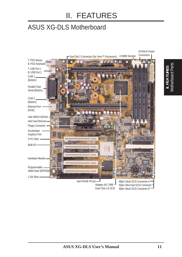# ASUS XG-DLS Motherboard



**ASUS XG-DLS User's Manual 11**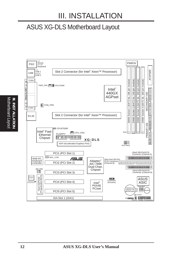# III. INSTALLATION

## ASUS XG-DLS Motherboard Layout



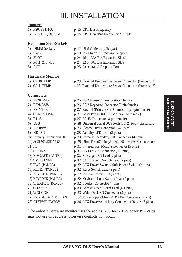# III. INSTALLATION

#### **Jumpers**

- 
- 
- **Expansion Slots/Sockets**
- 
- 
- 
- 
- 

#### **Hardware Monitor**

- 
- 

#### **Connectors**

- 
- 
- 
- 
- 
- 
- 
- 
- 
- 
- 
- 
- 
- 
- 
- 
- 
- 
- 
- 
- 
- 
- 1) FS0, FS1, FS2 p. 15 CPU Bus Frequency
- 2) BF0, BF1, BF2, BF3 p. 15 CPU Core:Bus Frequency Multiple
- 1) DIMM Sockets p. 17 DIMM Memory Support
- 2) Slot 2 p. 18 Intel Xeon™ Processor Support
- 3) SLOT1 p. 24 16-bit ISA Bus Expansion Slots**\***
- 4) PCI1, 2, 3, 4, 5 p. 24 32-bit PCI Bus Expansion Slots
- 5) AGP p. 25 Accelerated Graphics Port
- 1) CPU0TEMP p. 23 External Temperature Sensor Connector (Processor1)
- 2) CPU1TEMP p. 23 External Temperature Sensor Connector (Processor2)
- 1) PS2KBMS p. 26 PS/2 Mouse Connector (6-pin female)
- 2) PS2KBMS p. 26 PS/2 Keyboard Connector (6-pin female)
- 3) PRINTER p. 27 Parallel (Printer) Port Connector (25-pin female)
- 4) COM1/COM2 p. 27 Serial Port COM1/COM2 (two 9-pin male)
- 5) RJ-45 p. 27 RJ-45 Connector (8-pin female)
- 6) USB p. 28 Universal Serial BUS Ports  $1 \& 2$  (two 4 pin female)
- 7) FLOPPY p. 28 Floppy Drive Connector (34-1 pins)
- 8) HDLED p. 28 Activity LED Lead (2 pins)
- 9) Primary/SecondaryIDE p. 29 Primary/Secondary IDE Connector (40 pins)
- 10) SCSI-50/ULTRA2-68 p. 29 Ultra-Fast (50 pins)/Ultra2 (68 pins) SCSI Connectors
- 11) IR p. 31 Infrared Port Module Connector (5 pins)
- 12) SBLINK p. 31 SB-LINK<sup>TM</sup> Connector  $(6-1 \text{ pins})$
- 13) MSG.LED (PANEL) p. 32 Message LED Lead (2 pins)
- 14) SMI (PANEL) p. 32 SMI Suspend Switch Lead (2 pins)
- 15) PWR (PANEL) p. 32 ATX Power Switch / Soft Power Switch (2 pins)
- 16) RESET (PANEL) p. 32 Reset Switch Lead (2 pins)
- 17) KEYLOCK (PANEL) p. 32 System Power LED (3 pins)
- 18) KEYLOCK (PANEL) p. 32 Keyboard Lock Switch Lead (2 pins)
- 19) SPEAKER (PANEL) p. 32 Speaker Connector (4 pins)
- 20) CHASSIS p. 33 Chassis Open Alarm Lead (4-1 pins)
- 21) WOLCON p. 33 Wake-On-LAN Connector (3 pins)
- 22) PWR\_/CHA\_/CPU\_FAN p. 34 Power Supply/Chassis/CPU Fan Connectors (3 pins)
- 23) ATXPWR/PWR3V p. 34 ATX Power/Auxilliary Connector (20 pins /6 pins)

\* The onboard hardware monitor uses the address 290H-297H so legacy ISA cards must not use this address, otherwise conflicts will occur.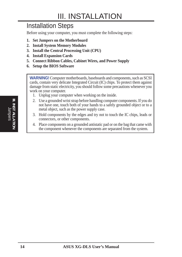# III. INSTALLATION

## Installation Steps

Before using your computer, you must complete the following steps:

- **1. Set Jumpers on the Motherboard**
- **2. Install System Memory Modules**
- **3. Install the Central Processing Unit (CPU)**
- **4. Install Expansion Cards**
- **5. Connect Ribbon Cables, Cabinet Wires, and Power Supply**
- **6. Setup the BIOS Software**

**WARNING!** Computer motherboards, baseboards and components, such as SCSI cards, contain very delicate Integrated Circuit (IC) chips. To protect them against damage from static electricity, you should follow some precautions whenever you work on your computer.

- 1. Unplug your computer when working on the inside.
- 2. Use a grounded wrist strap before handling computer components. If you do not have one, touch both of your hands to a safely grounded object or to a metal object, such as the power supply case.
- 3. Hold components by the edges and try not to touch the IC chips, leads or connectors, or other components.
- 4. Place components on a grounded antistatic pad or on the bag that came with the component whenever the components are separated from the system.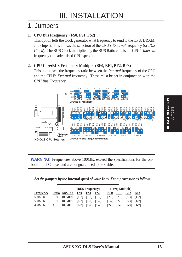## 1. Jumpers

#### **1. CPU Bus Frequency (FS0, FS1, FS2)**

This option tells the clock generator what frequency to send to the CPU, DRAM, and chipset. This allows the selection of the CPU's *External* frequency (or *BUS Clock*). The BUS Clock multiplied by the BUS Ratio equals the CPU's *Internal* frequency (the advertised CPU speed).

#### **2. CPU Core:BUS Frequency Multiple (BF0, BF1, BF2, BF3)**

This option sets the frequency ratio between the *Internal* frequency of the CPU and the CPU's *External* frequency. These must be set in conjunction with the *CPU Bus Frequency.*



**WARNING!** Frequencies above 100Mhz exceed the specifications for the onboard Intel Chipset and are not guaranteed to be stable.

#### *Set the jumpers by the Internal speed of your Intel Xeon processor as follows:*

|                  | $\fbox{BUS Frequency}$                |  |     |            | (Freq. Multiple)                        |                                                                                                                                   |                                         |
|------------------|---------------------------------------|--|-----|------------|-----------------------------------------|-----------------------------------------------------------------------------------------------------------------------------------|-----------------------------------------|
| <b>Frequency</b> | Ratio BUS FQ. FS0 FS1                 |  | FS2 | <b>BF0</b> | BF1                                     | BF2                                                                                                                               | BF3                                     |
| 550MHz           | 5.5x 100MHz $[1-2]$ $[1-2]$ $[1-2]$   |  |     |            |                                         | $\begin{bmatrix} 2-3 \\ 1-2 \\ 3 \end{bmatrix}$ $\begin{bmatrix} 2-3 \\ 1-2 \\ 1 \end{bmatrix}$                                   |                                         |
| 500MHz           | 5.0x 100MHz $[1-2]$ $[1-2]$ $[1-2]$   |  |     |            |                                         | $\begin{bmatrix} 1-2 \\ 2-3 \\ 1 \end{bmatrix}$ $\begin{bmatrix} 2-3 \\ 1 \end{bmatrix}$ $\begin{bmatrix} 1-2 \\ 1 \end{bmatrix}$ |                                         |
| 450MHz           | $4.5x$ 100MHz $[1-2]$ $[1-2]$ $[1-2]$ |  |     |            | $\lceil 2-3 \rceil$ $\lceil 1-2 \rceil$ |                                                                                                                                   | $\lceil 2-3 \rceil$ $\lceil 1-2 \rceil$ |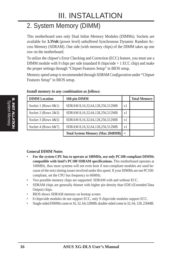# 2. System Memory (DIMM)

This motherboard uses only Dual Inline Memory Modules (DIMMs). Sockets are available for **3.3Volt** (power level) unbuffered Synchronous Dynamic Random Access Memory (SDRAM). One side (with memory chips) of the DIMM takes up one row on the motherboard.

To utilize the chipset's Error Checking and Correction (ECC) feature, you must use a DIMM module with 9 chips per side (standard 8 chips/side + 1 ECC chip) and make the proper settings through "Chipset Features Setup" in BIOS setup.

Memory speed setup is recommended through *SDRAM Configuration* under "Chipset Features Setup" in BIOS setup.

| <b>DIMM</b> Location     | 168-pin DIMM                            |     | <b>Total Memory</b> |
|--------------------------|-----------------------------------------|-----|---------------------|
| Socket 1 (Rows $0&0.1$ ) | SDRAM 8,16,32,64,128,256,512MB          | x1  |                     |
| Socket 2 (Rows $2\&3$ )  | SDRAM 8,16,32,64,128,256,512MB          | x1  |                     |
| Socket 3 (Rows $4&5$ )   | SDRAM 8,16,32,64,128,256,512MB          | x1  |                     |
| Socket 4 (Rows $6&7$ )   | SDRAM 8,16,32,64,128,256,512MB          | x1  |                     |
|                          | <b>Total System Memory (Max 2048MB)</b> | $=$ |                     |

*Install memory in any combination as follows:*

#### **General DIMM Notes**

- **For the system CPU bus to operate at 100MHz, use only PC100-compliant DIMMs compatible with Intel's PC100 SDRAM specifications.** This motherboard operates at 100MHz, thus most systems will not even boot if non-compliant modules are used because of the strict timing issues involved under this speed. If your DIMMs are not PC100 compliant, set the CPU bus frequency to 66MHz.
- Two possible memory chips are supported: SDRAM with and without ECC.
- SDRAM chips are generally thinner with higher pin density than EDO (Extended Data Output) chips.
- BIOS shows SDRAM memory on bootup screen.
- 8 chips/side modules do not support ECC, only 9 chips/side modules support ECC.
- Single-sided DIMMs come in 16, 32, 64,128MB; double-sided come in 32, 64, 128, 256MB.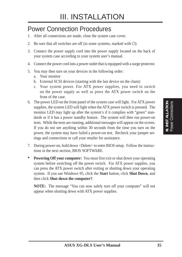## Power Connection Procedures

- 1. After all connections are made, close the system case cover.
- 2. Be sure that all switches are off (in some systems, marked with  $\bigcirc$ ).
- 3. Connect the power supply cord into the power supply located on the back of your system case according to your system user's manual.
- 4. Connect the power cord into a power outlet that is equipped with a surge protector.
- 5. You may then turn on your devices in the following order:
	- a. Your monitor
	- b. External SCSI devices (starting with the last device on the chain)
	- c. Your system power. For ATX power supplies, you need to switch on the power supply as well as press the ATX power switch on the front of the case.
- 6. The power LED on the front panel of the system case will light. For ATX power supplies, the system LED will light when the ATX power switch is pressed. The monitor LED may light up after the system's if it complies with "green" standards or if it has a power standby feature. The system will then run power-on tests. While the tests are running, additional messages will appear on the screen. If you do not see anything within 30 seconds from the time you turn on the power, the system may have failed a power-on test. Recheck your jumper settings and connections or call your retailer for assistance.
- 7. During power-on, hold down <Delete> to enter BIOS setup. Follow the instructions in the next section, BIOS SOFTWARE.
- **Powering Off your computer:** You must first exit or shut down your operating system before switching off the power switch. For ATX power supplies, you can press the ATX power switch after exiting or shutting down your operating system. If you use Windows 95, click the **Start** button, click **Shut Down**, and then click **Shut down the computer?**.

**NOTE:** The message "You can now safely turn off your computer" will not appear when shutting down with ATX power supplies.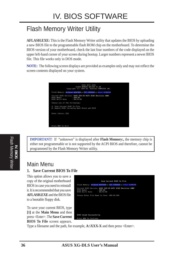# Flash Memory Writer Utility

**AFLASH.EXE:** This is the Flash Memory Writer utility that updates the BIOS by uploading a new BIOS file to the programmable flash ROM chip on the motherboard. To determine the BIOS version of your motherboard, check the last four numbers of the code displayed on the upper left-hand corner of your screen during bootup. Larger numbers represent a newer BIOS file. This file works only in DOS mode.

**NOTE:** The following screen displays are provided as examples only and may not reflect the screen contents displayed on your system.



**IMPORTANT!** If "unknown" is displayed after **Flash Memory:,** the memory chip is either not programmable or is not supported by the ACPI BIOS and therefore, cannot be programmed by the Flash Memory Writer utility.

### Main Menu

#### **1. Save Current BIOS To File**

This option allows you to save a copy of the original motherboard BIOS in case you need to reinstall it. It is recommended that you save **AFLASH.EXE** and the BIOS file to a bootable floppy disk.

To save your current BIOS, type **[1]** at the **Main Menu** and then press <Enter>. The **Save Current BIOS To File** screen appears.



Type a filename and the path, for example,  $A:\XXX-X$  and then press  $\leq$  Enter>.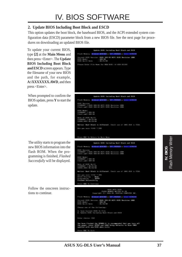#### **2. Update BIOS Including Boot Block and ESCD**

This option updates the boot block, the baseboard BIOS, and the ACPI extended system configuration data (ESCD) parameter block from a new BIOS file. See the next page for procedures on downloading an updated BIOS file.

To update your current BIOS, type **[2]** at the **Main Menu** and then press <Enter>. The **Update BIOS Including Boot Block and ESCD** screen appears. Type the filename of your new BIOS and the path, for example, **A:\XXXXXXX.AWD**, and then press <Enter>.

When prompted to confirm the BIOS update, press **Y** to start the update.

The utility starts to program the new BIOS information into the flash ROM. When the programming is finished, *Flashed Successfully* will be displayed.

Follow the onscreen instructions to continue.

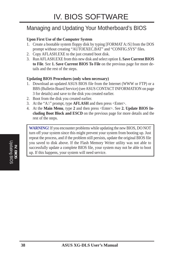## Managing and Updating Your Motherboard's BIOS

#### **Upon First Use of the Computer System**

- 1. Create a bootable system floppy disk by typing [FORMAT A:/S] from the DOS prompt without creating "AUTOEXEC.BAT" and "CONFIG.SYS" files.
- 2. Copy AFLASH.EXE to the just created boot disk.
- 3. Run AFLASH.EXE from this new disk and select option **1. Save Current BIOS to File**. See **1. Save Current BIOS To File** on the previous page for more details and the rest of the steps.

#### **Updating BIOS Procedures (only when necessary)**

- 1. Download an updated ASUS BIOS file from the Internet (WWW or FTP) or a BBS (Bulletin Board Service) (see ASUS CONTACT INFORMATION on page 3 for details) and save to the disk you created earlier.
- 2. Boot from the disk you created earlier.
- 3. At the "A:\" prompt, type **AFLASH** and then press <Enter>.
- 4. At the **Main Menu**, type **2** and then press <Enter>. See **2. Update BIOS Including Boot Block and ESCD** on the previous page for more details and the rest of the steps.

**WARNING!** If you encounter problems while updating the new BIOS, DO NOT turn off your system since this might prevent your system from booting up. Just repeat the process, and if the problem still persists, update the original BIOS file you saved to disk above. If the Flash Memory Writer utility was not able to successfully update a complete BIOS file, your system may not be able to boot up. If this happens, your system will need service.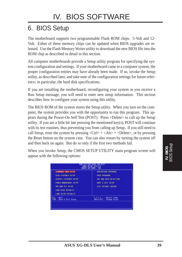# 6. BIOS Setup

The motherboard supports two programmable Flash ROM chips: 5-Volt and 12- Volt. Either of these memory chips can be updated when BIOS upgrades are released. Use the Flash Memory Writer utility to download the new BIOS file into the ROM chip as described in detail in this section.

All computer motherboards provide a Setup utility program for specifying the system configuration and settings. If your motherboard came in a computer system, the proper configuration entries may have already been made. If so, invoke the Setup utility, as described later, and take note of the configuration settings for future reference; in particular, the hard disk specifications.

If you are installing the motherboard, reconfiguring your system or you receive a Run Setup message, you will need to enter new setup information. This section describes how to configure your system using this utility.

The BIOS ROM of the system stores the Setup utility. When you turn on the computer, the system provides you with the opportunity to run this program. This appears during the Power-On Self Test (POST). Press <Delete> to call up the Setup utility. If you are a little bit late pressing the mentioned key(s), POST will continue with its test routines, thus preventing you from calling up Setup. If you still need to call Setup, reset the system by pressing  $\langle \text{Ctrl} \rangle + \langle \text{Alt} \rangle + \langle \text{Delete} \rangle$ , or by pressing the Reset button on the system case. You can also restart by turning the system off and then back on again. But do so only if the first two methods fail.

When you invoke Setup, the CMOS SETUP UTILITY main program screen will appear with the following options:

| STRADARD CMOS SETUP                    | SUPERVESOR PESSIORD                                    |
|----------------------------------------|--------------------------------------------------------|
| <b>BIDS FERTURES SETUP</b>             | USER PRESSIONS                                         |
| CHIPSET FERTURES SETUP                 | THE HOD NUTO DETECTION                                 |
| POWER MANAGEMENT SETUP                 | <b>SOME &amp; EXIT SETUP</b>                           |
| <b>PNP RND PCI SETUP</b>               | EXTT NETHOUT SAVING                                    |
| LOAD BIDS DEFAULTS                     |                                                        |
| LORD SETUP DEFAULTS                    |                                                        |
| <b>Outt</b><br>罷。<br>Save & Exit Setup | <b>Times : Select Item</b><br>IShift}F2 : Change Color |

**IV. BIOS** BIOS Setup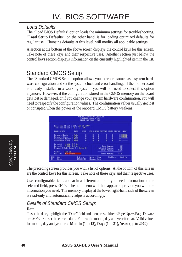### Load Defaults

The "Load BIOS Defaults" option loads the minimum settings for troubleshooting. "**Load Setup Defaults**", on the other hand, is for loading optimized defaults for regular use. Choosing defaults at this level, will modify all applicable settings.

A section at the bottom of the above screen displays the control keys for this screen. Take note of these keys and their respective uses. Another section just below the control keys section displays information on the currently highlighted item in the list.

## Standard CMOS Setup

The "Standard CMOS Setup" option allows you to record some basic system hardware configuration and set the system clock and error handling. If the motherboard is already installed in a working system, you will not need to select this option anymore. However, if the configuration stored in the CMOS memory on the board gets lost or damaged, or if you change your system hardware configuration, you will need to respecify the configuration values. The configuration values usually get lost or corrupted when the power of the onboard CMOS battery weakens.



The preceding screen provides you with a list of options. At the bottom of this screen are the control keys for this screen. Take note of these keys and their respective uses.

User-configurable fields appear in a different color. If you need information on the selected field, press <F1>. The help menu will then appear to provide you with the information you need. The memory display at the lower right-hand side of the screen is read-only and automatically adjusts accordingly.

## Details of Standard CMOS Setup:

#### **Date**

To set the date, highlight the "Date" field and then press either <Page Up>/<Page Down> or  $\langle + \rangle$   $\langle - \rangle$  to set the current date. Follow the month, day and year format. Valid values for month, day and year are: **Month: (1** to **12), Day: (1** to **31), Year: (**up to **2079)**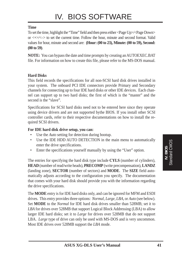#### **Time**

To set the time, highlight the "Time" field and then press either <Page Up>/<Page Down> or  $\langle + \rangle$   $\langle - \rangle$  to set the current time. Follow the hour, minute and second format. Valid values for hour, minute and second are: **(Hour: (00 to 23), Minute: (00 to 59), Second: (00 to 59)**.

**NOTE:** You can bypass the date and time prompts by creating an AUTOEXEC.BAT file. For information on how to create this file, please refer to the MS-DOS manual.

#### **Hard Disks**

This field records the specifications for all non-SCSI hard disk drives installed in your system. The onboard PCI IDE connectors provide Primary and Secondary channels for connecting up to four IDE hard disks or other IDE devices. Each channel can support up to two hard disks; the first of which is the "master" and the second is the "slave".

Specifications for SCSI hard disks need not to be entered here since they operate using device drivers and are not supported bythe BIOS. If you install other SCSI controller cards, refer to their respective documentations on how to install the required SCSI drivers.

#### **For IDE hard disk drive setup, you can:**

- Use the *Auto* setting for detection during bootup.
- Use the IDE HDD AUTO DETECTION in the main menu to automatically enter the drive specifications.
- Enter the specifications yourself manually by using the "User" option.

The entries for specifying the hard disk type include **CYLS** (number of cylinders), **HEAD** (number of read/write heads), **PRECOMP** (write precompensation), **LANDZ** (landing zone), **SECTOR** (number of sectors) and **MODE**. The **SIZE** field automatically adjusts according to the configuration you specify. The documentation that comes with your hard disk should provide you with the information regarding the drive specifications.

The **MODE** entry is for IDE hard disks only, and can be ignored for MFM and ESDI drives. This entry provides three options: *Normal, Large, LBA*, or *Auto* (see below). Set **MODE** to the *Normal* for IDE hard disk drives smaller than 528MB; set it to *LBA* for drives over 528MB that support Logical Block Addressing (LBA) to allow larger IDE hard disks; set it to *Large* for drives over 528MB that do not support LBA. *Large* type of drive can only be used with MS-DOS and is very uncommon. Most IDE drives over 528MB support the *LBA* mode.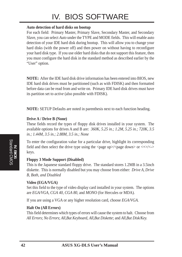# IV. BIOS SOFTWARE

#### **Auto detection of hard disks on bootup**

For each field: Primary Master, Primary Slave, Secondary Master, and Secondary Slave, you can select *Auto* under the TYPE and MODE fields. This will enable auto detection of your IDE hard disk during bootup. This will allow you to change your hard disks (with the power off) and then power on without having to reconfigure your hard disk type. If you use older hard disks that do not support this feature, then you must configure the hard disk in the standard method as described earlier by the "User" option.

**NOTE:** After the IDE hard disk drive information has been entered into BIOS, new IDE hard disk drives must be partitioned (such as with FDISK) and then formatted before data can be read from and write on. Primary IDE hard disk drives must have its partition set to *active* (also possible with FDISK).

**NOTE:** SETUP Defaults are noted in parenthesis next to each function heading.

#### **Drive A / Drive B (None)**

These fields record the types of floppy disk drives installed in your system. The available options for drives A and B are: *360K, 5.25 in.; 1.2M, 5.25 in.; 720K, 3.5 in.; 1.44M, 3.5 in.; 2.88M, 3.5 in.; None*

To enter the configuration value for a particular drive, highlight its corresponding field and then select the drive type using the  $\langle$  page up $>\rangle$  $\langle$  page down $>$  or  $\langle + \rangle$  $\langle$ - $>$ keys.

#### **Floppy 3 Mode Support (Disabled)**

This is the Japanese standard floppy drive. The standard stores 1.2MB in a 3.5inch diskette. This is normally disabled but you may choose from either: *Drive A, Drive B, Both, and Disabled*

#### **Video (EGA/VGA)**

Set this field to the type of video display card installed in your system. The options are *EGA/VGA*, *CGA 40*, *CGA 80*, and *MONO* (for Hercules or MDA)*.*

If you are using a VGA or any higher resolution card, choose *EGA/VGA*.

#### **Halt On (All Errors)**

This field determines which types of errors will cause the system to halt. Choose from *All Errors*; *No Errors*; *All*,*But Keyboard, All*,*But Diskette*; and *All,But Disk/Key.*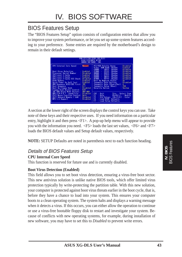## BIOS Features Setup

The "BIOS Features Setup" option consists of configuration entries that allow you to improve your system performance, or let you set up some system features according to your preference. Some entries are required by the motherboard's design to remain in their default settings.

| <b>CPU Internal Core Speed</b><br><b>Nanual</b>                                                                                                                                                                                                                                                                                                                                                                                                | PCI/VDH Palette Snoop<br>: Disabled<br><b>ROM BIDS</b><br>Video<br>Shadow<br>Enabled                                                                                                                                                                                                                                                                                                                                                                                                                                                     |
|------------------------------------------------------------------------------------------------------------------------------------------------------------------------------------------------------------------------------------------------------------------------------------------------------------------------------------------------------------------------------------------------------------------------------------------------|------------------------------------------------------------------------------------------------------------------------------------------------------------------------------------------------------------------------------------------------------------------------------------------------------------------------------------------------------------------------------------------------------------------------------------------------------------------------------------------------------------------------------------------|
| <b>Boot Virus Detection</b><br>Enabled<br>Processor Serial Number<br>Dismbled<br>CPU Lovel 1 Cache<br>: Enabled<br>CPU Lavel 2 Cache<br>: Enabled<br>CPU Lavel 2 Cacha ECC Chack:<br>Dinabled<br>Enabled<br><b>BIOS Update</b><br>۰<br><b>Ouick Preser On Self Text</b><br>Enabled<br>HDD Sequence SCSI/IDE First:<br><b>IDE</b><br><b>Boot Sequence</b><br>П.С<br>Disabled<br><b>Boot the Floppy Seek</b><br>P/W<br>Loppy Disk Access Control | 13808<br><b>CIEFF</b><br>Shadow<br>: Disabled<br>$\sim$<br>00800<br><b>CFFFF</b><br>Shadow<br>: Disabled<br>m.<br>00800<br><b>DGEFF</b><br>◆<br>Shadow<br>Disabled<br><b>D4800</b><br>$-$ DNFF<br>: Disabled<br>Shadow<br><b>DEFFE</b><br>09800<br>Disabled<br>$\sim$<br>Shadow<br>DC888<br>DEEFE<br><b>Disabled</b><br>Shadow<br><b>Company</b><br><b>Boot Up MunLock Status</b><br><b>Gn</b><br>Tupematic Rate Setting<br>Disabled<br>Typematic Rate (Chars/Sec):<br>250<br><b>Typematic Delay (Msec)</b><br>Security Option<br>Sustee |
| <b>IDE HDD Block Mode Sectors</b><br><b>HTID HEDL</b><br>HDD S.M.R.R.T. capability<br>Disabled<br>PS/2 Nouse Function Control:<br><b>Buto</b><br>US/2 Dnboard Newory > 64N<br>Disabled<br>Disabled<br>MPS 1.4 Support                                                                                                                                                                                                                          | Time : Select Item<br>ESC<br><b>Outt</b><br><b>Help</b><br>PU/PO/+/- Nedify<br>F5<br>Old Values (ShiftHFZ :<br>Color<br>F6<br>Lead HIDS<br>Defaults<br>Load Setup Defaults                                                                                                                                                                                                                                                                                                                                                               |

A section at the lower right of the screen displays the control keys you can use. Take note of these keys and their respective uses. If you need information on a particular entry, highlight it and then press <F1>. A pop-up help menu will appear to provide you with the information you need. <F5> loads the last set values, <F6> and <F7> loads the BIOS default values and Setup default values, respectively.

**NOTE:** SETUP Defaults are noted in parenthesis next to each function heading.

### Details of BIOS Features Setup

#### **CPU Internal Core Speed**

This function is reserved for future use and is currently disabled.

#### **Boot Virus Detection (Enabled)**

This field allows you to set boot virus detection, ensuring a virus-free boot sector. This new antivirus solution is unlike native BIOS tools, which offer limited virus protection typically by write-protecting the partition table. With this new solution, your computer is protected against boot virus threats earlier in the boot cycle, that is, before they have a chance to load into your system. This ensures your computer boots to a clean operating system. The system halts and displays a warning message when it detects a virus. If this occurs, you can either allow the operation to continue or use a virus-free bootable floppy disk to restart and investigate your system. Because of conflicts with new operating systems, for example, during installation of new software, you may have to set this to *Disabled* to prevent write errors.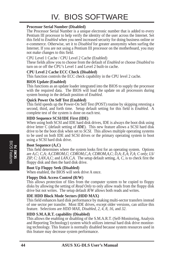#### **Processor Serial Number (Disabled)**

The Processor Serial Number is a unique electronic number that is added to every Pentium III processor to help verify the identity of the user across the Internet. Set this field to *Enabled* when you need increased security for doing business online or e-commerce. Otherwise, set it to *Disabled* for greater anonymity when surfing the Internet. If you are not using a Pentium III processor on the motherboard, you may not make changes to this field.

CPU Level 1 Cache / CPU Level 2 Cache (Enabled)

These fields allow you to choose from the default of *Enabled* or choose *Disabled* to turn on or off the CPU's Level 1 and Level 2 built-in cache.

#### **CPU Level 2 Cache ECC Check (Disabled)**

This function controls the ECC check capability in the CPU level 2 cache.

#### **BIOS Update (Enabled)**

This functions as an update loader integrated into the BIOS to supply the processor with the required data. The BIOS will load the update on all processors during system bootup in the default position of *Enabled*.

#### **Quick Power On Self Test (Enabled)**

This field speeds up the Power-On Self Test (POST) routine by skipping retesting a second, third, and forth time. Setup default setting for this field is *Enabled*. A complete test of the system is done on each test.

#### **HDD Sequence SCSI/IDE First (IDE)**

When using both SCSI and IDE hard disk drives, IDE is always the boot disk using drive letter C (default setting of *IDE*). This new feature allows a SCSI hard disk drive to be the boot disk when set to *SCSI*. This allows multiple operating systems to be used on both IDE and SCSI drives or the primary operating system to boot using a SCSI hard disk drive.

#### **Boot Sequence (A,C)**

This field determines where the system looks first for an operating system. Options are *A,C*; *C,A; A,CDROM,C*; *CDROM,C,A*; *CDROM,A,C*; *D,A*; *E,A*; *F,A*; *C only*; *LS/ ZIP, C; LAN,A,C*; and *LAN,C,A*. The setup default setting, *A, C*, is to check first the floppy disk and then the hard disk drive.

#### **Boot Up Floppy Seek (Disabled)**

When enabled, the BIOS will seek drive A once.

#### **Floppy Disk Access Control (R/W)**

This allows protection of files from the computer system to be copied to floppy disks by allowing the setting of *Read Only* to only allow reads from the floppy disk drive but not writes. The setup default *R/W* allows both reads and writes.

#### **IDE HDD Block Mode Sectors (HDD MAX)**

This field enhances hard disk performance by making multi-sector transfers instead of one sector per transfer. Most IDE drives, except older versions, can utilize this feature. Selections are *HDD MAX*, *Disabled*, *2*, *4*, *8*, *16*, and *32*.

#### **HDD S.M.A.R.T. capability (Disabled)**

This allows the enabling or disabling of the S.M.A.R.T. (Self-Monitoring, Analysis and Reporting Technology) system which utilizes internal hard disk drive monitoring technology. This feature is normally disabled because system resources used in this feature may decrease system performance.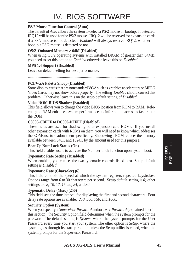#### **PS/2 Mouse Function Control (Auto)**

The default of *Auto* allows the system to detect a PS/2 mouse on bootup. If detected, IRQ12 will be used for the PS/2 mouse. IRQ12 will be reserved for expansion cards if a PS/2 mouse is not detected. *Enabled* will always reserve IRQ12, whether on bootup a PS/2 mouse is detected or not.

#### **OS/2 Onboard Memory > 64M (Disabled)**

When using OS/2 operating systems with installed DRAM of greater than 64MB, you need to set this option to *Enabled* otherwise leave this on *Disabled*.

#### **MPS 1.4 Support (Disabled)**

Leave on default setting for best performance.

......................................................................................................................................

#### **PCI/VGA Palette Snoop (Disabled)**

Some display cards that are nonstandard VGA such as graphics accelerators or MPEG Video Cards may not show colors properly. The setting *Enabled* should correct this problem. Otherwise leave this on the setup default setting of *Disabled*.

#### **Video ROM BIOS Shadow (Enabled)**

This field allows you to change the video BIOS location from ROM to RAM. Relocating to RAM enhances system performance, as information access is faster than the ROM.

#### **C8000-CBFFF to DC000-DFFFF (Disabled)**

These fields are used for shadowing other expansion card ROMs. If you install other expansion cards with ROMs on them, you will need to know which addresses the ROMs use to shadow them specifically. Shadowing a ROM reduces the memory available between 640K and 1024K by the amount used for this purpose.

#### **Boot Up NumLock Status (On)**

This field enables users to activate the Number Lock function upon system boot.

#### **Typematic Rate Setting (Disabled)**

When enabled, you can set the two typematic controls listed next. Setup default setting is *Disabled*.

#### **Typematic Rate (Chars/Sec) (6)**

This field controls the speed at which the system registers repeated keystrokes. Options range from 6 to 30 characters per second. Setup default setting is *6;* other settings are *8*, *10*, *12*, *15*, *20*, *24*, and *30*.

#### **Typematic Delay (Msec) (250)**

This field sets the time interval for displaying the first and second characters. Four delay rate options are available: *250*, *500*, *750*, and *1000*.

#### **Security Option (System)**

When you specify a *Supervisor Password* and/or *User Password* (explained later in this section), the Security Option field determines when the system prompts for the password. The default setting is *System*, where the system prompts for the User Password every time you start your system. The other option is *Setup*, where the system goes through its startup routine unless the Setup utility is called, when the system prompts for the Supervisor Password.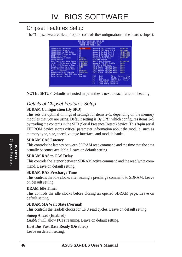## Chipset Features Setup

The "Chipset Features Setup" option controls the configuration of the board's chipset.

| <b>CHIPSET FEATURES SETUP</b><br>AMRO SOFTWARE, INC.                                                                                                                                                                                                                                                                                                                                                                                                                                                                                                                | KUM PCL/180 11105 1XG-0LS1                                                                                                                                                                                                                                                                                                                                                                                                                                                                                                                                                                                                                                                                                                                                                              |
|---------------------------------------------------------------------------------------------------------------------------------------------------------------------------------------------------------------------------------------------------------------------------------------------------------------------------------------------------------------------------------------------------------------------------------------------------------------------------------------------------------------------------------------------------------------------|-----------------------------------------------------------------------------------------------------------------------------------------------------------------------------------------------------------------------------------------------------------------------------------------------------------------------------------------------------------------------------------------------------------------------------------------------------------------------------------------------------------------------------------------------------------------------------------------------------------------------------------------------------------------------------------------------------------------------------------------------------------------------------------------|
| SURRM Configuration<br>By SPD<br>21<br>SURFIM CRS Latency<br>ЭΤ<br>SURFIN RBS to CRS Delay<br>-91<br>SURFIM RRS Precharge Time :<br>θī<br>SBROOK MR Wait State<br>Normal.<br>Englished<br><b>Snoop Rhead</b><br>Host Bus Fast Data Ready :<br>Disabled<br>16-bit I/O Recovery line<br>$\pm$ 1 BISCLK<br><b>1 BUSCLK</b><br>8-bit I/D Recovery Time<br>Graphics Aperture Size<br><b>GUID</b><br><b>UC</b><br>Video Newary Cache Node<br>Enghled<br>Memory Hole At 15M-16M<br><b>Ursabled</b><br>DRFM are 64 (Mot 72) bits<br>wide.<br>Non-EDC<br>Data Integrity Mode | <b>Onboard FDC Controller</b><br>Enabled<br><b>Doboard FDC Swap R &amp; B</b><br><b>No Swap</b><br>亚明加耶<br>Onboard Serial Fort 1<br>2581/1003<br>Onboard Serial Fort 2<br>3781/1807<br><b>Onboard Parallel Port</b><br>Parallel Port Mode<br>ECP+EPP<br>э<br>ECP DMA Select<br>UART2 Use Infrared<br><b>Disabled</b><br><b>Onboard PCI IDE Enable</b><br><b>Buth</b><br>IBE Witra DMR Mode<br><b>Buto</b><br>IDEO Naster PIO/DNA Mode<br><b>Buto</b><br><b>IDER SLave PTO/DNR Wode</b><br><b>Buta</b><br>IDE1 Master PIO/DMR Mode<br><b>Buta</b><br><b>IDE1 Slave PIO/DMR Wode</b><br><b>Buto</b><br>LSC.<br><b>Quit</b><br>Time : Select Item<br>PU/PU/+/- Medity<br><b>Help</b><br>Fl<br>F5<br>Old Values (Shift)F2 : Color<br>F6<br>Load BIDS Defaults<br><b>Load Setup Defaults</b> |

**NOTE:** SETUP Defaults are noted in parenthesis next to each function heading.

# Details of Chipset Features Setup

#### **SDRAM Configuration (By SPD)**

This sets the optimal timings of settings for items 2–5, depending on the memory modules that you are using. Default setting is *By SPD*, which configures items 2–5 by reading the contents in the SPD (Serial Presence Detect) device. This 8-pin serial EEPROM device stores critical parameter information about the module, such as memory type, size, speed, voltage interface, and module banks.

#### **SDRAM CAS Latency**

This controls the latency between SDRAM read command and the time that the data actually becomes available. Leave on default setting.

#### **SDRAM RAS to CAS Delay**

This controls the latency between SDRAM active command and the read/write command. Leave on default setting.

#### **SDRAM RAS Precharge Time**

This controls the idle clocks after issuing a precharge command to SDRAM. Leave on default setting.

#### **DRAM Idle Timer**

This controls the idle clocks before closing an opened SDRAM page. Leave on default setting.

#### **SDRAM MA Wait State (Normal)**

This controls the leadoff clocks for CPU read cycles. Leave on default setting.

#### **Snoop Ahead (Enabled)**

*Enabled* will allow PCI streaming. Leave on default setting.

#### **Host Bus Fast Data Ready (Disabled)**

Leave on default setting.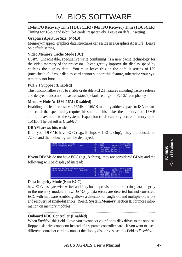#### **16-bit I/O Recovery Time (1 BUSCLK) / 8-bit I/O Recovery Time (1 BUSCLK)**

Timing for 16-bit and 8-bit ISA cards, respectively. Leave on default setting.

#### **Graphics Aperture Size (64MB)**

Memory-mapped, graphics data structures can reside in a Graphics Aperture. Leave on default setting.

#### **Video Memory Cache Mode (UC)**

*USWC* (uncacheable, speculative write combining) is a new cache technology for the video memory of the processor. It can greatly improve the display speed by caching the display data. You must leave this on the default setting of *UC* (uncacheable) if your display card cannot support this feature, otherwise your system may not boot.

#### **PCI 2.1 Support (Enabled)**

This function allows you to enable or disable PCI 2.1 features including passive release and delayed transaction. Leave *Enabled* (default setting) for PCI 2.1 compliancy.

#### **Memory Hole At 15M–16M (Disabled)**

Enabling this feature reserves 15MB to 16MB memory address space to ISA expansion cards that specifically require this setting. This makes the memory from 15MB and up unavailable to the system. Expansion cards can only access memory up to 16MB. The default is *Disabled*.

#### **DRAM are xx bits wide**

If all your DIMMs have ECC (e.g.,  $8 \text{ chips} + 1 \text{ ECC chip}$ ), they are considered 72bits and the following will be displayed:



If your DIMMs do not have ECC (e.g., 8 chips), they are considered 64 bits and the following will be displayed instead:



#### **Data Integrity Mode (Non-ECC)**

*Non-ECC* has byte-wise write capability but no provision for protecting data integrity in the memory module array. *EC-Only* data errors are detected but not corrected. *ECC* with hardware scrubbing allows a detection of single-bit and multiple-bit errors and recovery of single-bit errors. (See **2. System Memory**, section III for more information on memory modules.)

#### .................................................................................................................................... **Onboard FDC Controller (Enabled)**

When *Enabled*, this field allows you to connect your floppy disk drives to the onboard floppy disk drive connector instead of a separate controller card. If you want to use a different controller card to connect the floppy disk drives, set this field to *Disabled*.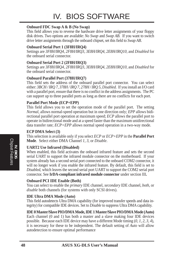#### **Onboard FDC Swap A & B (No Swap)**

This field allows you to reverse the hardware drive letter assignments of your floppy disk drives. Two options are available: *No Swap* and *Swap AB*. If you want to switch drive letter assignments through the onboard chipset, set this field to *Swap AB*.

#### **Onboard Serial Port 1 (3F8H/IRQ4)**

Settings are *3F8H/IRQ4*, *2F8H/IRQ3, 3E8H/IRQ4, 2E8H/IRQ10,* and *Disabled* for the onboard serial connector.

#### **Onboard Serial Port 2 (2F8H/IRQ3)**

Settings are *3F8H/IRQ4, 2F8H/IRQ3*, *3E8H/IRQ4, 2E8H/IRQ10,* and *Disabled* for the onboard serial connector.

#### **Onboard Parallel Port (378H/IRQ7)**

This field sets the address of the onboard parallel port connector. You can select either: *3BCH / IRQ 7, 378H / IRQ 7, 278H / IRQ 5, Disabled.* If you install an I/O card with a parallel port, ensure that there is no conflict in the address assignments. The PC can support up to three parallel ports as long as there are no conflicts for each port.

#### **Parallel Port Mode (ECP+EPP)**

This field allows you to set the operation mode of the parallel port. The setting *Normal*, allows normal-speed operation but in one direction only; *EPP* allows bidirectional parallel port operation at maximum speed; *ECP* allows the parallel port to operate in bidirectional mode and at a speed faster than the maximum unidirectional data transfer rate; *ECP+EPP* allows normal speed operation in a two-way mode.

#### **ECP DMA Select (3)**

This selection is available only if you select *ECP* or *ECP+EPP* in the **Parallel Port Mode**. Select either DMA Channel *1, 3*, or *Disable*.

#### **UART2 Use Infrared (Disabled)**

When enabled, this field activates the onboard infrared feature and sets the second serial UART to support the infrared module connector on the motherboard. If your system already has a second serial port connected to the onboard COM2 connector, it will no longer work if you enable the infrared feature. By default, this field is set to *Disabled*, which leaves the second serial port UART to support the COM2 serial port connector. See **IrDA-compliant infrared module connector** under section III**.**

#### **Onboard PCI IDE Enable (Both)**

You can select to enable the *primary* IDE channel, *secondary* IDE channel, *both*, or *disable* both channels (for systems with only SCSI drives).

#### **IDE Ultra DMA Mode (Auto)**

This field autodetects Ultra DMA capability (for improved transfer speeds and data integrity) for compatible IDE devices. Set to *Disable* to suppress Ultra DMA capability.

**IDE 0 Master/Slave PIO/DMA Mode, IDE 1 Master/Slave PIO/DMA Mode (Auto)** Each channel (0 and 1) has both a master and a slave making four IDE devices

possible. Because each IDE device may have a different Mode timing (*0, 1, 2, 3, 4*), it is necessary for these to be independent. The default setting of *Auto* will allow autodetection to ensure optimal performance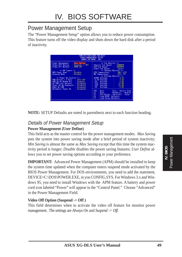### Power Management Setup

The "Power Management Setup" option allows you to reduce power consumption. This feature turns off the video display and shuts down the hard disk after a period of inactivity.

|                                                                                                                                                                                                                                                                                                                                                                                                                                                                            | --                                                                                                                                                                                                                                                                                                                                                                      |
|----------------------------------------------------------------------------------------------------------------------------------------------------------------------------------------------------------------------------------------------------------------------------------------------------------------------------------------------------------------------------------------------------------------------------------------------------------------------------|-------------------------------------------------------------------------------------------------------------------------------------------------------------------------------------------------------------------------------------------------------------------------------------------------------------------------------------------------------------------------|
| Pawer Management<br>: User Define<br>: Suspend $\rightarrow$ DFF<br>Video Off Dotion<br>Video Off Method<br>$:$ DPMS DFF<br>on PM Timors on<br>: Disable<br>HDD Power Down<br><b>Suspend Mode</b><br>: Disable<br>** Power the Control<br>$\cdots$<br>Soft DFF<br><b>PWR Button ( &amp; Secs</b><br>Mill Up On Modem Act<br>: Enabled<br>: Dispolad<br>AC PWR Loss Restart<br>Power the By Keyboard<br>: Disabled<br>: Disabled<br><b>Rutomatic Power Up .</b><br>Disabled | ** Fan Monitor<br>3388571<br>Chassis Fan Speed<br>CPU Fan Speed 3000FPN<br>Power Fan Spood : Ignore<br>** Thermal Monitor **<br>CPU Temperature : 500/112F<br>MB Temperature : 250/77F<br>** Valtage Monitor **<br><b>VCORE Voltage</b><br>3.37<br>.39<br>昏<br>$-9.3V$ Yolinge<br>.SV Voltage<br>÷<br>$+129$<br><b>Voltage</b><br>雪<br><b>Tolinge</b><br><b>Voltage</b> |
|                                                                                                                                                                                                                                                                                                                                                                                                                                                                            | ESC<br>Time : Select Item<br>$\frac{0}{10}$<br>PU/PD/+/- Medify<br>Old Values (Shift)F2 : Color<br>F6<br>Load BIDS Defaults<br><b>Lead Setup Defaults</b>                                                                                                                                                                                                               |

**NOTE:** SETUP Defaults are noted in parenthesis next to each function heading.

#### Details of Power Management Setup **Power Management (User Define)**

This field acts as the master control for the power management modes. *Max Saving* puts the system into power saving mode after a brief period of system inactivity; *Min Saving* is almost the same as *Max Saving* except that this time the system inactivity period is longer; *Disable* disables the power saving features; *User Define* allows you to set power saving options according to your preference.

**IMPORTANT:** Advanced Power Management (APM) should be installed to keep the system time updated when the computer enters suspend mode activated by the BIOS Power Management. For DOS environments, you need to add the statement, DEVICE=C:\DOS\POWER.EXE, in you CONFIG.SYS. For Windows 3.x and Windows 95, you need to install Windows with the APM feature. A battery and power cord icon labeled "Power" will appear in the "Control Panel." Choose "Advanced" in the Power Management Field.

#### **Video Off Option (Suspend -> Off )**

This field determines when to activate the video off feature for monitor power management. The settings are *Always On* and *Suspend -> Off.*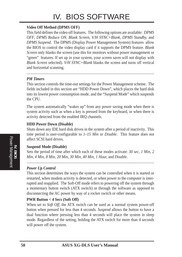# IV. BIOS SOFTWARE

#### **Video Off Method (DPMS OFF)**

This field defines the video off features. The following options are available: *DPMS OFF*, *DPMS Reduce ON*, *Blank Screen*, *V/H SYNC+Blank, DPMS Standby,* and *DPMS Suspend*. The DPMS (Display Power Management System) features allow the BIOS to control the video display card if it supports the DPMS feature. *Blank Screen* only blanks the screen (use this for monitors without power management or "green" features. If set up in your system, your screen saver will not display with *Blank Screen* selected). *V/H SYNC+Blank* blanks the screen and turns off vertical and horizontal scanning.

#### *PM Timers*

This section controls the time-out settings for the Power Management scheme. The fields included in this section are "HDD Power Down", which places the hard disk into its lowest power consumption mode, and the "Suspend Mode" which suspends the CPU.

The system automatically "wakes up" from any power saving mode when there is system activity such as when a key is pressed from the keyboard, or when there is activity detected from the enabled IRQ channels.

#### **HDD Power Down (Disable)**

Shuts down any IDE hard disk drives in the system after a period of inactivity. This time period is user-configurable to *1–15 Min* or *Disable*. This feature does not affect SCSI hard drives.

#### **Suspend Mode (Disable)**

Sets the period of time after which each of these modes activate: *30 sec*, *1 Min*, *2 Min*, *4 Min*, *8 Min*, *20 Min*, *30 Min*, *40 Min*, *1 Hour,* and *Disable*.

.......................................................................................................................................

*Power Up Control*

This section determines the ways the system can be controlled when it is started or restarted, when modem activity is detected, or when power to the computer is interrupted and reapplied. The Soft-Off mode refers to powering off the system through a momentary button switch (ATX switch) or through the software as opposed to disconnecting the AC power by way of a rocker switch or other means.

#### **PWR Button < 4 Secs (Soft Off)**

When set to *Soft Off*, the ATX switch can be used as a normal system power-off button when pressed for less than 4 seconds. *Suspend* allows the button to have a dual function where pressing less than 4 seconds will place the system in sleep mode. Regardless of the setting, holding the ATX switch for more than 4 seconds will power off the system.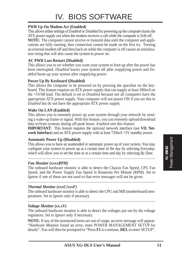#### **PWR Up On Modem Act (Enabled)**

This allows either settings of *Enabled* or *Disabled* for powering up the computer (turns the ATX power supply on) when the modem receives a call while the computer is Soft-off. **NOTE:** The computer cannot receive or transmit data until the computer and applications are fully running, thus connection cannot be made on the first try. Turning an external modem off and then back on while the computer is off causes an initialization string that will also cause the system to power on.

#### **AC PWR Loss Restart (Disabled)**

This allows you to set whether you want your system to boot up after the power has been interrupted. *Disabled* leaves your system off after reapplying power and *Enabled* boots up your system after reapplying power.

#### **Power Up By Keyboard (Disabled)**

This allows the computer to be powered on by pressing the spacebar on the keyboard. This feature requires an ATX power supply that can supply at least 300mA on the +5VSB lead. The default is set to *Disabled* because not all computers have the appropriate ATX power supply. Your computer will not power ON if you set this to *Enabled* but do not have the appropriate ATX power supply.

#### **Wake On LAN (Enabled)**

This allows you to remotely power up your system through your network by sending a wake-up frame or signal. With this feature, you can remotely upload/download data to/from systems during off-peak hours. *Enabled* sets this feature.

**IMPORTANT:** This feature requires the optional network interface (see **VII. Network Interface**) and an ATX power supply with at least 720mA +5V standby power.

#### **Automatic Power Up (Disabled)**

This allows you to have an unattended or automatic power up of your system. You may configure your system to power up at a certain time of the day by selecting *Everyday*, which will allow you to set the time or at a certain time and day by selecting *By Date.*

#### *Fan Monitor (xxxxRPM)*

The onboard hardware monitor is able to detect the Chassis Fan Speed, CPU Fan Speed, and the Power Supply Fan Speed in Rotations Per Minute (RPM). Set to *Ignore* if one of these are not used so that error messages will not be given.

#### ..................................................................................................................................... *Thermal Monitor (xxxC/xxxF)*

The onboard hardware monitor is able to detect the CPU and MB (motherboard) temperatures. Set to *Ignore* only if necessary.

.....................................................................................................................................

#### *Voltage Monitor (xx.xV)*

The onboard hardware monitor is able to detect the voltages put out by the voltage regulators. Set to *Ignore* only if necessary.

**NOTE:** If any of the monitored items are out of range, an error message will appear: "Hardware Monitor found an error, enter POWER MANAGEMENT SETUP for details". You will then be prompted to "Press **F1** to continue, **DEL** to enter SETUP".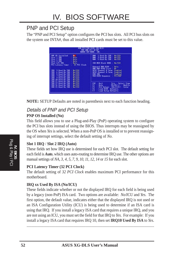### PNP and PCI Setup

The "PNP and PCI Setup" option configures the PCI bus slots. All PCI bus slots on the system use INTA#, thus all installed PCI cards must be set to this value.

| No.<br>PMP OS Installed                                               | 1 Used By 188 : No/10U<br>DMFI.           |
|-----------------------------------------------------------------------|-------------------------------------------|
| Slot 1 IM<br><b>Buto</b>                                              | DMR.<br>3. Used By 158 : No/ICU           |
| Slot 2 IM<br><b>Buto</b>                                              | DMR<br>5 Used By ISH : No/ICU             |
| Slot 3 IRQ<br><b>Buto</b>                                             |                                           |
| Slot 4/5 IRO<br>$:$ Buto                                              | ISR MEM Block BRSE : No/ICU               |
| PCI Latency Timer : 32 PCI Clock                                      |                                           |
|                                                                       | <b>Onboard NHR B105 : Ruto</b>            |
|                                                                       | ONB AHA BIOS First : No                   |
| 麗麗<br>3 Used By TSR<br>No/TCU<br>-11                                  | SCSI Channel B Tarm: Enabled              |
| 6 Used By ISB<br>No/TCU<br>×                                          | SCSI Channel A Term: Enabled              |
| 5 thord By TSR<br>No/TCU                                              | USB TRI : Enabled                         |
| 7 Used By 198<br>Na/TCU                                               | VGR BIOS Sequence : PCT/REP               |
| 9 Used By ISB<br>No/TCU                                               |                                           |
| No/TCD                                                                |                                           |
| 00 10 Used By 199<br>00 11 Used By 199<br>00 12 Used By 199<br>No/TOU |                                           |
| No/TCU                                                                | USC.<br><b>Quit</b><br>Time : Select Item |
| IRO 14 Used By 188<br>No/TCU                                          | PU/PD/+/- Medify<br>Help.                 |
| IHO 15 Used By 188<br>No/TCU                                          | Old Values (Shift)F2 : Color              |
|                                                                       | 唇稀<br>Load BIDS Defaults                  |
|                                                                       | Load Setup Defaults                       |

**NOTE:** SETUP Defaults are noted in parenthesis next to each function heading.

# Details of PNP and PCI Setup

#### **PNP OS Installed (No)**

This field allows you to use a Plug-and-Play (PnP) operating system to configure the PCI bus slots instead of using the BIOS. Thus interrupts may be reassigned by the OS when *Yes* is selected. When a non-PnP OS is installed or to prevent reassigning of interrupt settings, select the default setting of *No*.

#### **Slot 1 IRQ** / **Slot 2 IRQ (Auto)**

These fields set how IRQ use is determined for each PCI slot. The default setting for each field is *Auto*, which uses auto-routing to determine IRQ use. The other options are manual settings of *NA, 3, 4, 5, 7, 9, 10, 11, 12, 14* or *15* for each slot.

#### **PCI Latency Timer (32 PCI Clock)**

The default setting of *32 PCI Clock* enables maximum PCI performance for this motherboard.

#### **IRQ xx Used By ISA (No/ICU)**

These fields indicate whether or not the displayed IRQ for each field is being used by a legacy (non-PnP) ISA card. Two options are available: *No/ICU* and *Yes*. The first option, the default value, indicates either that the displayed IRQ is not used or an ISA Configuration Utility (ICU) is being used to determine if an ISA card is using that IRQ. If you install a legacy ISA card that requires a unique IRQ, and you are not using an ICU, you must set the field for that IRQ to *Yes*. For example: If you install a legacy ISA card that requires IRQ 10, then set **IRQ10 Used By ISA** to *Yes*.

......................................................................................................................................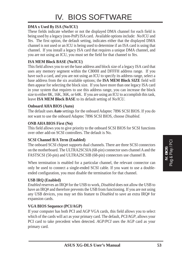#### **DMA x Used By ISA (No/ICU)**

These fields indicate whether or not the displayed DMA channel for each field is being used by a legacy (non-PnP) ISA card. Available options include: *No/ICU* and *Yes*. The first option, the default setting, indicates either that the displayed DMA channel is not used or an ICU is being used to determine if an ISA card is using that channel. If you install a legacy ISA card that requires a unique DMA channel, and you are not using an ICU, you must set the field for that channel to *Yes*.

#### **ISA MEM Block BASE (No/ICU)**

This field allows you to set the base address and block size of a legacy ISA card that uses any memory segment within the C800H and DFFFH address range. If you have such a card, and you are not using an ICU to specify its address range, select a base address from the six available options; the **ISA MEM Block SIZE** field will then appear for selecting the block size. If you have more than one legacy ISA card in your system that requires to use this address range, you can increase the block size to either 8K, 16K, 36K, or 64K. If you are using an ICU to accomplish this task, leave **ISA MEM Block BASE** to its default setting of *No/ICU*.

#### **Onboard AHA BIOS (Auto)**

The default uses *Auto* settings for the onboard Adaptec 7896 SCSI BIOS. If you do not want to use the onboard Adaptec 7896 SCSI BIOS, choose *Disabled*.

#### **ONB AHA BIOS First (No)**

This field allows you to give priority to the onboard SCSI BIOS for SCSI functions over other add-on SCSI controllers. The default is No.

#### **SCSI Channel B/A Term (Enabled)**

The onboard SCSI chipset supports dual channels. There are three SCSI connectors on the motherboard. The ULTRA2SCSIA (68-pin) connector uses channel A and the FASTSCSI (50-pin) and ULTRA2SCSIB (68-pin) connectors use channel B.

When termination is enabled for a particular channel, the relevant connector can only be used to connect a single-ended SCSI cable. If you want to use a doubleended configuration, you must disable the termination for that channel.

#### **USB IRQ (Enabled)**

*Enabled* reserves an IRQ# for the USB to work, *Disabled* does not allow the USB to have an IRQ# and therefore prevents the USB from functioning. If you are not using any USB devices, you may set this feature to *Disabled* to save an extra IRQ# for expansion cards.

#### **VGA BIOS Sequence (PCI/AGP)**

If your computer has both PCI and AGP VGA cards, this field allows you to select which of the cards will act as your primary card. The default, *PCI/AGP*, allows your PCI card to take precedent when detected. *AGP/PCI* uses the AGP card as your primary card.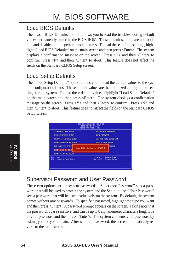## Load BIOS Defaults

The "Load BIOS Defaults" option allows you to load the troubleshooting default values permanently stored in the BIOS ROM. These default settings are non-optimal and disable all high performance features. To load these default settings, highlight "Load BIOS Defaults" on the main screen and then press <Enter>. The system displays a confirmation message on the screen. Press  $\langle Y \rangle$  and then  $\langle$ Enter $\rangle$  to confirm. Press  $\langle N \rangle$  and then  $\langle$ Enter $\rangle$  to abort. This feature does not affect the fields on the Standard CMOS Setup screen.

### Load Setup Defaults

The "Load Setup Defaults" option allows you to load the default values to the system configuration fields. These default values are the optimized configuration settings for the system. To load these default values, highlight "Load Setup Defaults" on the main screen and then press <Enter>. The system displays a confirmation message on the screen. Press  $\langle Y \rangle$  and then  $\langle$ Enter $\rangle$  to confirm. Press  $\langle N \rangle$  and then <Enter> to abort. This feature does not affect the fields on the Standard CMOS Setup screen.





## Supervisor Password and User Password

These two options set the system passwords. "Supervisor Password" sets a password that will be used to protect the system and the Setup utility; "User Password" sets a password that will be used exclusively on the system. By default, the system comes without any passwords. To specify a password, highlight the type you want and then press <Enter>. A password prompt appears on the screen. Taking note that the password is case sensitive, and can be up to 8 alphanumeric characters long, type in your password and then press <Enter>. The system confirms your password by asking you to type it again. After setting a password, the screen automatically reverts to the main screen.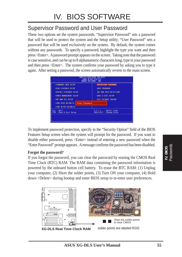### Supervisor Password and User Password

These two options set the system passwords. "Supervisor Password" sets a password that will be used to protect the system and the Setup utility; "User Password" sets a password that will be used exclusively on the system. By default, the system comes without any passwords. To specify a password, highlight the type you want and then press <Enter>. A password prompt appears on the screen. Taking note that the password is case sensitive, and can be up to 8 alphanumeric characters long, type in your password and then press <Enter>. The system confirms your password by asking you to type it again. After setting a password, the screen automatically reverts to the main screen.



To implement password protection, specify in the "Security Option" field of the BIOS Features Setup screen when the system will prompt for the password. If you want to disable either password, press <Enter> instead of entering a new password when the "Enter Password" prompt appears. A message confirms the password has been disabled.

#### **Forgot the password?**

If you forgot the password, you can clear the password by erasing the CMOS Real Time Clock (RTC) RAM. The RAM data containing the password information is powered by the onboard button cell battery. To erase the RTC RAM: (1) Unplug your computer, (2) Short the solder points, (3) Turn ON your computer, (4) Hold down <Delete> during bootup and enter BIOS setup to re-enter user preferences.

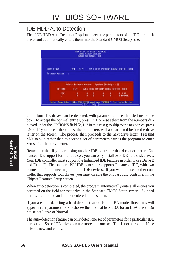### IDE HDD Auto Detection

The "IDE HDD Auto Detection" option detects the parameters of an IDE hard disk drive, and automatically enters them into the Standard CMOS Setup screen.



Up to four IDE drives can be detected, with parameters for each listed inside the box. To accept the optimal entries, press  $\langle Y \rangle$  or else select from the numbers displayed under the OPTIONS field (2, 1, 3 in this case); to skip to the next drive, press  $\langle N \rangle$ . If you accept the values, the parameters will appear listed beside the drive letter on the screen. The process then proceeds to the next drive letter. Pressing  $\langle N \rangle$  to skip rather than to accept a set of parameters causes the program to enter zeros after that drive letter.

Remember that if you are using another IDE controller that does not feature Enhanced IDE support for four devices, you can only install two IDE hard disk drives. Your IDE controller must support the Enhanced IDE features in order to use Drive E and Drive F. The onboard PCI IDE controller supports Enhanced IDE, with two connectors for connecting up to four IDE devices. If you want to use another controller that supports four drives, you must disable the onboard IDE controller in the Chipset Features Setup screen.

When auto-detection is completed, the program automatically enters all entries you accepted on the field for that drive in the Standard CMOS Setup screen. Skipped entries are ignored and are not entered in the screen.

If you are auto-detecting a hard disk that supports the LBA mode, three lines will appear in the parameter box. Choose the line that lists LBA for an LBA drive. Do not select Large or Normal.

The auto-detection feature can only detect one set of parameters for a particular IDE hard drive. Some IDE drives can use more than one set. This is not a problem if the drive is new and empty.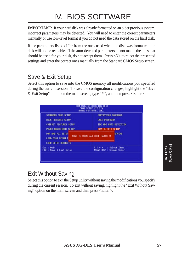# IV. BIOS SOFTWARE

**IMPORTANT:** If your hard disk was already formatted on an older previous system, incorrect parameters may be detected. You will need to enter the correct parameters manually or use low-level format if you do not need the data stored on the hard disk.

If the parameters listed differ from the ones used when the disk was formatted, the disk will not be readable. If the auto-detected parameters do not match the ones that should be used for your disk, do not accept them. Press <N> to reject the presented settings and enter the correct ones manually from the Standard CMOS Setup screen.

### Save & Exit Setup

Select this option to save into the CMOS memory all modifications you specified during the current session. To save the configuration changes, highlight the "Save & Exit Setup" option on the main screen, type "Y", and then press  $\leq$  Enter $\geq$ .

| STANDARD CMOS SETUP                    | SUPERVISOR PASSWORD                               |
|----------------------------------------|---------------------------------------------------|
| <b>BIOS FEATURES SETUP</b>             | <b>USER PASSHORD</b>                              |
| CHIPSET FEATURES SETUP                 | IDE HDD AUTO DETECTION                            |
| POWER MANAGEMENT SETUP                 | SAME & EXIT SETUP                                 |
| PNP AND PCI SETUP<br>LOAD BIOS DEFAULT | <b>SAVING</b><br>SRVE to CMOS and EXIT (V/N)? M   |
| <b>LOAD SETUP DEFAULTS</b>             |                                                   |
| Esc : Ouit<br>F10 : Save & Exit Setup  | † 1 + + → Select Item<br>(Shift)F2 : Change Color |

## Exit Without Saving

Select this option to exit the Setup utility without saving the modifications you specify during the current session. To exit without saving, highlight the "Exit Without Saving" option on the main screen and then press <Enter>.